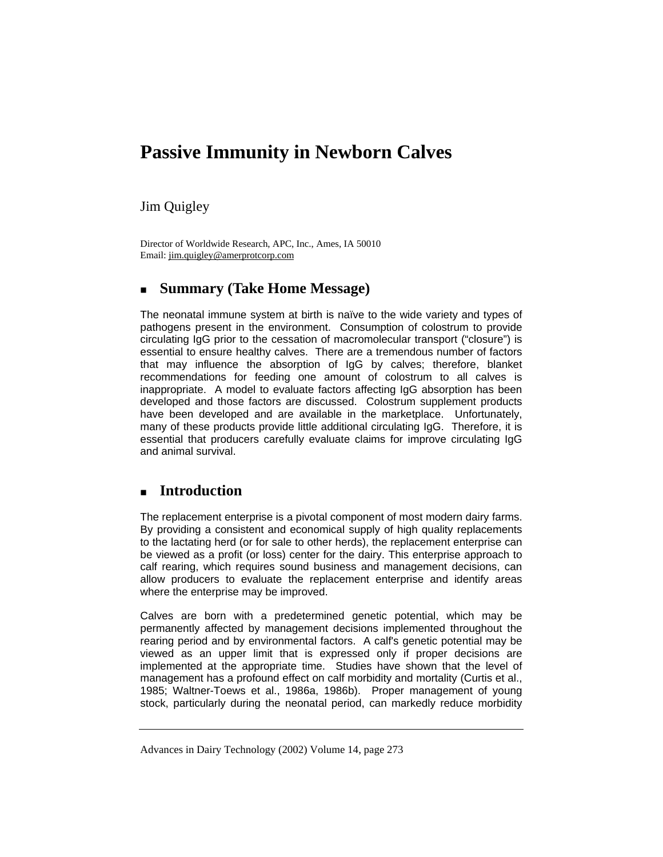# **Passive Immunity in Newborn Calves**

Jim Quigley

Director of Worldwide Research, APC, Inc., Ames, IA 50010 Email: jim.quigley@amerprotcorp.com

# **Summary (Take Home Message)**

The neonatal immune system at birth is naïve to the wide variety and types of pathogens present in the environment. Consumption of colostrum to provide circulating IgG prior to the cessation of macromolecular transport ("closure") is essential to ensure healthy calves. There are a tremendous number of factors that may influence the absorption of IgG by calves; therefore, blanket recommendations for feeding one amount of colostrum to all calves is inappropriate. A model to evaluate factors affecting IgG absorption has been developed and those factors are discussed. Colostrum supplement products have been developed and are available in the marketplace. Unfortunately, many of these products provide little additional circulating IgG. Therefore, it is essential that producers carefully evaluate claims for improve circulating IgG and animal survival.

# **Introduction**

The replacement enterprise is a pivotal component of most modern dairy farms. By providing a consistent and economical supply of high quality replacements to the lactating herd (or for sale to other herds), the replacement enterprise can be viewed as a profit (or loss) center for the dairy. This enterprise approach to calf rearing, which requires sound business and management decisions, can allow producers to evaluate the replacement enterprise and identify areas where the enterprise may be improved.

Calves are born with a predetermined genetic potential, which may be permanently affected by management decisions implemented throughout the rearing period and by environmental factors. A calf's genetic potential may be viewed as an upper limit that is expressed only if proper decisions are implemented at the appropriate time. Studies have shown that the level of management has a profound effect on calf morbidity and mortality (Curtis et al., 1985; Waltner-Toews et al., 1986a, 1986b). Proper management of young stock, particularly during the neonatal period, can markedly reduce morbidity

Advances in Dairy Technology (2002) Volume 14, page 273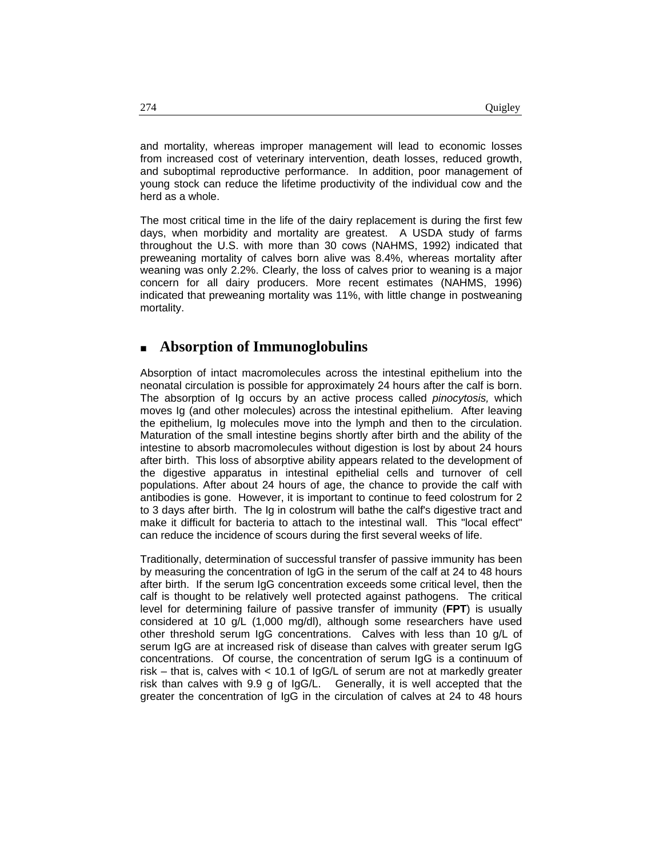and mortality, whereas improper management will lead to economic losses from increased cost of veterinary intervention, death losses, reduced growth, and suboptimal reproductive performance. In addition, poor management of young stock can reduce the lifetime productivity of the individual cow and the herd as a whole.

The most critical time in the life of the dairy replacement is during the first few days, when morbidity and mortality are greatest. A USDA study of farms throughout the U.S. with more than 30 cows (NAHMS, 1992) indicated that preweaning mortality of calves born alive was 8.4%, whereas mortality after weaning was only 2.2%. Clearly, the loss of calves prior to weaning is a major concern for all dairy producers. More recent estimates (NAHMS, 1996) indicated that preweaning mortality was 11%, with little change in postweaning mortality.

## **Absorption of Immunoglobulins**

Absorption of intact macromolecules across the intestinal epithelium into the neonatal circulation is possible for approximately 24 hours after the calf is born. The absorption of Ig occurs by an active process called *pinocytosis,* which moves Ig (and other molecules) across the intestinal epithelium. After leaving the epithelium, Ig molecules move into the lymph and then to the circulation. Maturation of the small intestine begins shortly after birth and the ability of the intestine to absorb macromolecules without digestion is lost by about 24 hours after birth. This loss of absorptive ability appears related to the development of the digestive apparatus in intestinal epithelial cells and turnover of cell populations. After about 24 hours of age, the chance to provide the calf with antibodies is gone. However, it is important to continue to feed colostrum for 2 to 3 days after birth. The Ig in colostrum will bathe the calf's digestive tract and make it difficult for bacteria to attach to the intestinal wall. This "local effect" can reduce the incidence of scours during the first several weeks of life.

Traditionally, determination of successful transfer of passive immunity has been by measuring the concentration of IgG in the serum of the calf at 24 to 48 hours after birth. If the serum IgG concentration exceeds some critical level, then the calf is thought to be relatively well protected against pathogens. The critical level for determining failure of passive transfer of immunity (**FPT**) is usually considered at 10 g/L (1,000 mg/dl), although some researchers have used other threshold serum IgG concentrations. Calves with less than 10 g/L of serum IgG are at increased risk of disease than calves with greater serum IgG concentrations. Of course, the concentration of serum IgG is a continuum of risk – that is, calves with < 10.1 of IgG/L of serum are not at markedly greater risk than calves with 9.9 g of IgG/L. Generally, it is well accepted that the greater the concentration of IgG in the circulation of calves at 24 to 48 hours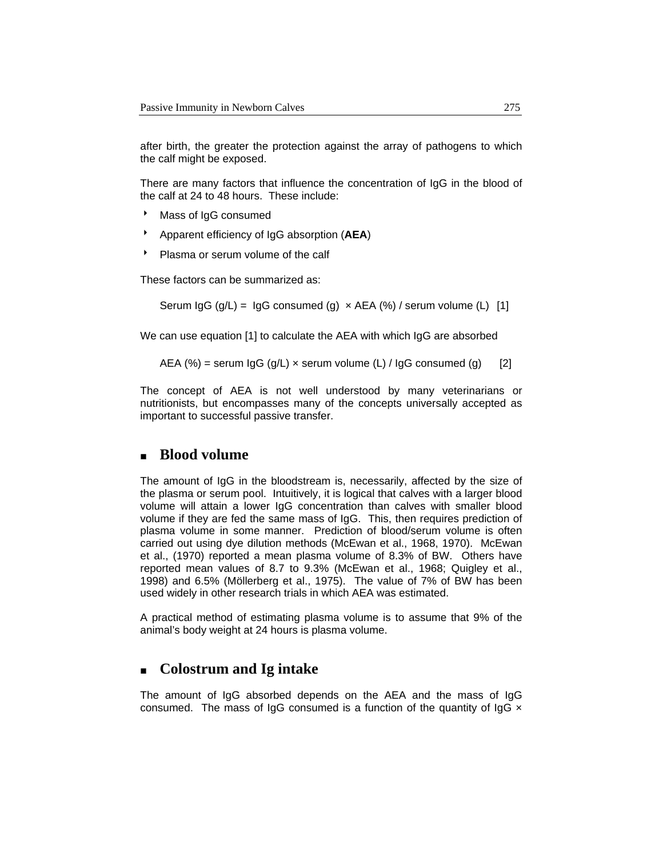after birth, the greater the protection against the array of pathogens to which the calf might be exposed.

There are many factors that influence the concentration of IgG in the blood of the calf at 24 to 48 hours. These include:

- **Mass of IgG consumed**
- 8 Apparent efficiency of IgG absorption (**AEA**)
- Plasma or serum volume of the calf

These factors can be summarized as:

Serum  $\lg G$  (g/L) =  $\lg G$  consumed (g)  $\times$  AEA (%) / serum volume (L) [1]

We can use equation [1] to calculate the AEA with which IgG are absorbed

AEA (%) = serum  $\lg G$  (g/L)  $\times$  serum volume (L) /  $\lg G$  consumed (g) [2]

The concept of AEA is not well understood by many veterinarians or nutritionists, but encompasses many of the concepts universally accepted as important to successful passive transfer.

### **Blood volume**

The amount of IgG in the bloodstream is, necessarily, affected by the size of the plasma or serum pool. Intuitively, it is logical that calves with a larger blood volume will attain a lower IgG concentration than calves with smaller blood volume if they are fed the same mass of IgG. This, then requires prediction of plasma volume in some manner. Prediction of blood/serum volume is often carried out using dye dilution methods (McEwan et al., 1968, 1970). McEwan et al., (1970) reported a mean plasma volume of 8.3% of BW. Others have reported mean values of 8.7 to 9.3% (McEwan et al., 1968; Quigley et al., 1998) and 6.5% (Möllerberg et al., 1975). The value of 7% of BW has been used widely in other research trials in which AEA was estimated.

A practical method of estimating plasma volume is to assume that 9% of the animal's body weight at 24 hours is plasma volume.

### **Colostrum and Ig intake**

The amount of IgG absorbed depends on the AEA and the mass of IgG consumed. The mass of IgG consumed is a function of the quantity of IgG  $\times$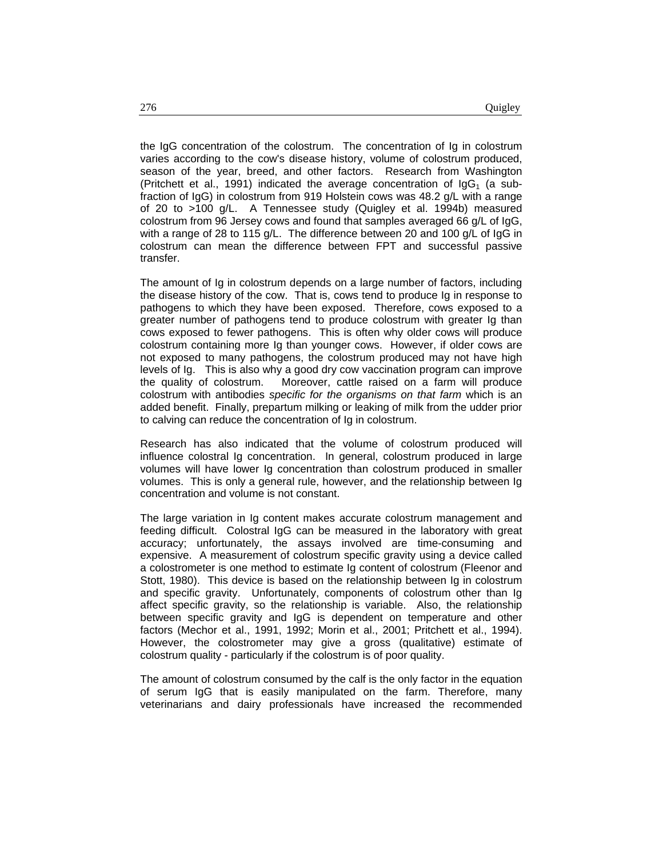the IgG concentration of the colostrum. The concentration of Ig in colostrum varies according to the cow's disease history, volume of colostrum produced, season of the year, breed, and other factors. Research from Washington (Pritchett et al., 1991) indicated the average concentration of  $\log_{1}$  (a subfraction of IgG) in colostrum from 919 Holstein cows was 48.2 g/L with a range of 20 to >100 g/L. A Tennessee study (Quigley et al. 1994b) measured colostrum from 96 Jersey cows and found that samples averaged 66 g/L of IgG, with a range of 28 to 115 g/L. The difference between 20 and 100 g/L of IgG in colostrum can mean the difference between FPT and successful passive transfer.

The amount of Ig in colostrum depends on a large number of factors, including the disease history of the cow. That is, cows tend to produce Ig in response to pathogens to which they have been exposed. Therefore, cows exposed to a greater number of pathogens tend to produce colostrum with greater Ig than cows exposed to fewer pathogens. This is often why older cows will produce colostrum containing more Ig than younger cows. However, if older cows are not exposed to many pathogens, the colostrum produced may not have high levels of Ig. This is also why a good dry cow vaccination program can improve the quality of colostrum. Moreover, cattle raised on a farm will produce colostrum with antibodies *specific for the organisms on that farm* which is an added benefit. Finally, prepartum milking or leaking of milk from the udder prior to calving can reduce the concentration of Ig in colostrum.

Research has also indicated that the volume of colostrum produced will influence colostral Ig concentration. In general, colostrum produced in large volumes will have lower Ig concentration than colostrum produced in smaller volumes. This is only a general rule, however, and the relationship between Ig concentration and volume is not constant.

The large variation in Ig content makes accurate colostrum management and feeding difficult. Colostral IgG can be measured in the laboratory with great accuracy; unfortunately, the assays involved are time-consuming and expensive. A measurement of colostrum specific gravity using a device called a colostrometer is one method to estimate Ig content of colostrum (Fleenor and Stott, 1980). This device is based on the relationship between Ig in colostrum and specific gravity. Unfortunately, components of colostrum other than Ig affect specific gravity, so the relationship is variable. Also, the relationship between specific gravity and IgG is dependent on temperature and other factors (Mechor et al., 1991, 1992; Morin et al., 2001; Pritchett et al., 1994). However, the colostrometer may give a gross (qualitative) estimate of colostrum quality - particularly if the colostrum is of poor quality.

The amount of colostrum consumed by the calf is the only factor in the equation of serum IgG that is easily manipulated on the farm. Therefore, many veterinarians and dairy professionals have increased the recommended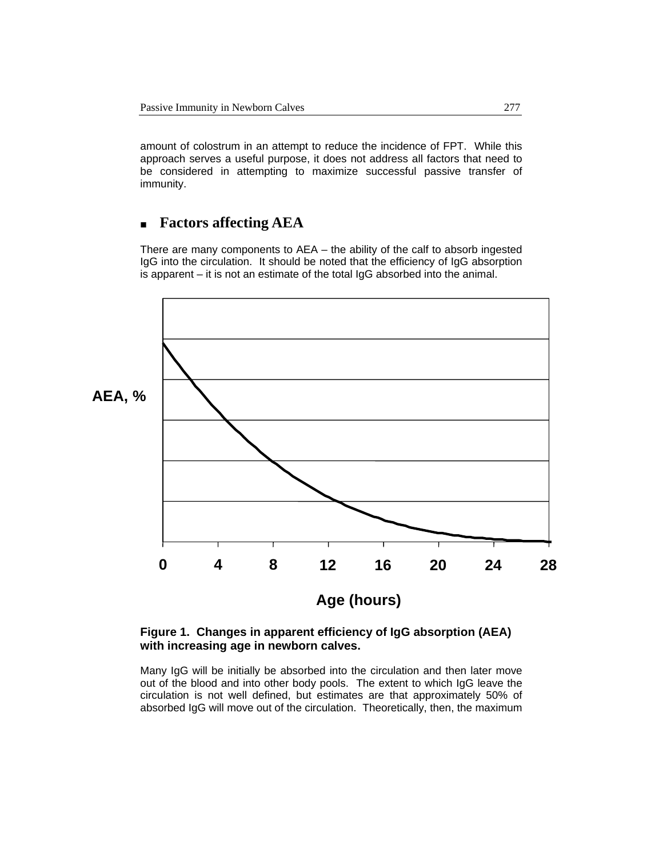amount of colostrum in an attempt to reduce the incidence of FPT. While this approach serves a useful purpose, it does not address all factors that need to be considered in attempting to maximize successful passive transfer of immunity.

# **Factors affecting AEA**

There are many components to AEA – the ability of the calf to absorb ingested IgG into the circulation. It should be noted that the efficiency of IgG absorption is apparent – it is not an estimate of the total IgG absorbed into the animal.



#### **Figure 1. Changes in apparent efficiency of IgG absorption (AEA) with increasing age in newborn calves.**

Many IgG will be initially be absorbed into the circulation and then later move out of the blood and into other body pools. The extent to which IgG leave the circulation is not well defined, but estimates are that approximately 50% of absorbed IgG will move out of the circulation. Theoretically, then, the maximum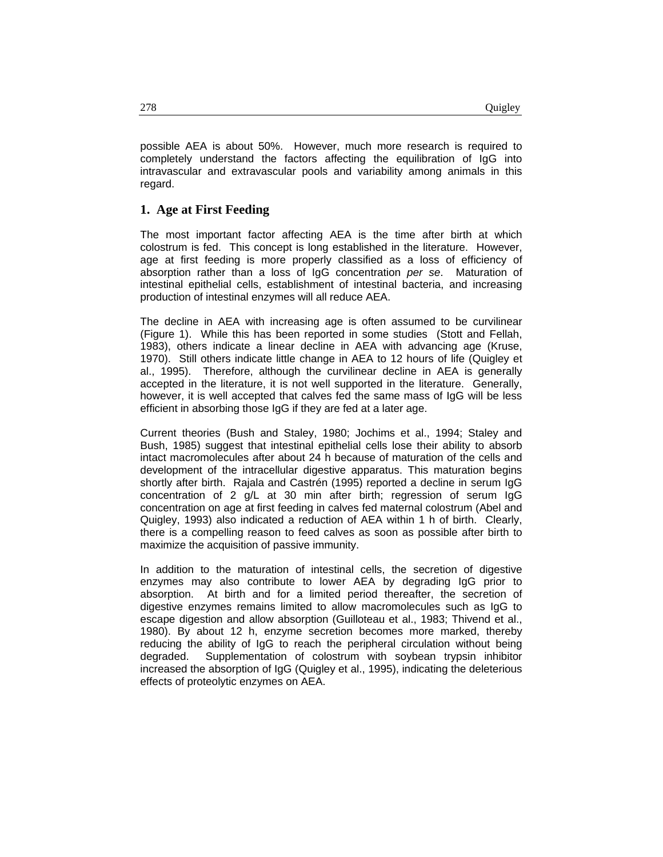possible AEA is about 50%. However, much more research is required to completely understand the factors affecting the equilibration of IgG into intravascular and extravascular pools and variability among animals in this regard.

#### **1. Age at First Feeding**

The most important factor affecting AEA is the time after birth at which colostrum is fed. This concept is long established in the literature. However, age at first feeding is more properly classified as a loss of efficiency of absorption rather than a loss of IgG concentration *per se*. Maturation of intestinal epithelial cells, establishment of intestinal bacteria, and increasing production of intestinal enzymes will all reduce AEA.

The decline in AEA with increasing age is often assumed to be curvilinear (Figure 1). While this has been reported in some studies (Stott and Fellah, 1983), others indicate a linear decline in AEA with advancing age (Kruse, 1970). Still others indicate little change in AEA to 12 hours of life (Quigley et al., 1995). Therefore, although the curvilinear decline in AEA is generally accepted in the literature, it is not well supported in the literature. Generally, however, it is well accepted that calves fed the same mass of IgG will be less efficient in absorbing those IgG if they are fed at a later age.

Current theories (Bush and Staley, 1980; Jochims et al., 1994; Staley and Bush, 1985) suggest that intestinal epithelial cells lose their ability to absorb intact macromolecules after about 24 h because of maturation of the cells and development of the intracellular digestive apparatus. This maturation begins shortly after birth. Rajala and Castrén (1995) reported a decline in serum IgG concentration of 2 g/L at 30 min after birth; regression of serum IgG concentration on age at first feeding in calves fed maternal colostrum (Abel and Quigley, 1993) also indicated a reduction of AEA within 1 h of birth. Clearly, there is a compelling reason to feed calves as soon as possible after birth to maximize the acquisition of passive immunity.

In addition to the maturation of intestinal cells, the secretion of digestive enzymes may also contribute to lower AEA by degrading IgG prior to absorption. At birth and for a limited period thereafter, the secretion of digestive enzymes remains limited to allow macromolecules such as IgG to escape digestion and allow absorption (Guilloteau et al., 1983; Thivend et al., 1980). By about 12 h, enzyme secretion becomes more marked, thereby reducing the ability of IgG to reach the peripheral circulation without being degraded. Supplementation of colostrum with soybean trypsin inhibitor increased the absorption of IgG (Quigley et al., 1995), indicating the deleterious effects of proteolytic enzymes on AEA.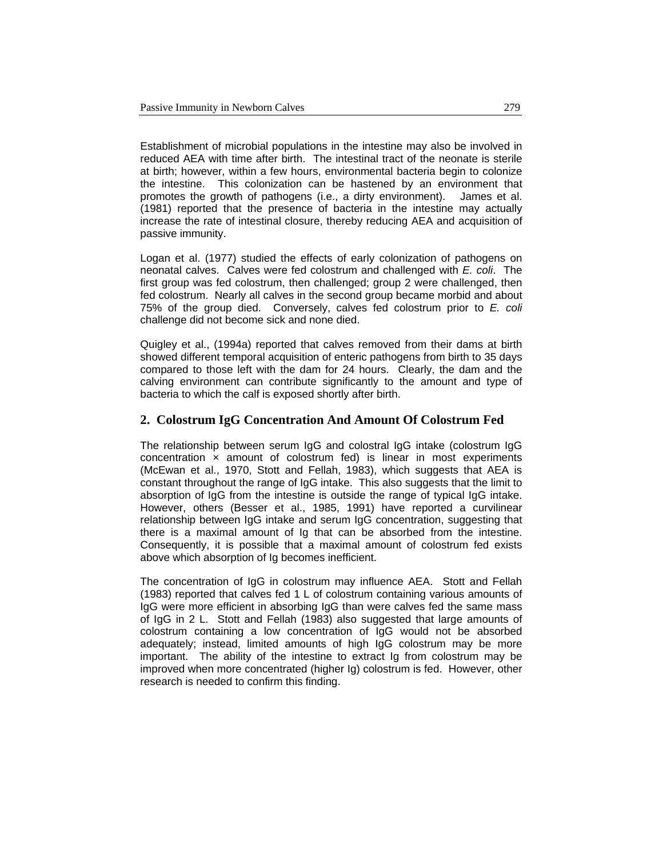Establishment of microbial populations in the intestine may also be involved in reduced AEA with time after birth. The intestinal tract of the neonate is sterile at birth; however, within a few hours, environmental bacteria begin to colonize the intestine. This colonization can be hastened by an environment that promotes the growth of pathogens (i.e., a dirty environment). James et al. (1981) reported that the presence of bacteria in the intestine may actually increase the rate of intestinal closure, thereby reducing AEA and acquisition of passive immunity.

Logan et al. (1977) studied the effects of early colonization of pathogens on neonatal calves. Calves were fed colostrum and challenged with *E. coli*. The first group was fed colostrum, then challenged; group 2 were challenged, then fed colostrum. Nearly all calves in the second group became morbid and about 75% of the group died. Conversely, calves fed colostrum prior to *E. coli* challenge did not become sick and none died.

Quigley et al., (1994a) reported that calves removed from their dams at birth showed different temporal acquisition of enteric pathogens from birth to 35 days compared to those left with the dam for 24 hours. Clearly, the dam and the calving environment can contribute significantly to the amount and type of bacteria to which the calf is exposed shortly after birth.

#### **2. Colostrum IgG Concentration And Amount Of Colostrum Fed**

The relationship between serum IgG and colostral IgG intake (colostrum IgG concentration  $\times$  amount of colostrum fed) is linear in most experiments (McEwan et al., 1970, Stott and Fellah, 1983), which suggests that AEA is constant throughout the range of IgG intake. This also suggests that the limit to absorption of IgG from the intestine is outside the range of typical IgG intake. However, others (Besser et al., 1985, 1991) have reported a curvilinear relationship between IgG intake and serum IgG concentration, suggesting that there is a maximal amount of Ig that can be absorbed from the intestine. Consequently, it is possible that a maximal amount of colostrum fed exists above which absorption of Ig becomes inefficient.

The concentration of IgG in colostrum may influence AEA. Stott and Fellah (1983) reported that calves fed 1 L of colostrum containing various amounts of IgG were more efficient in absorbing IgG than were calves fed the same mass of IgG in 2 L. Stott and Fellah (1983) also suggested that large amounts of colostrum containing a low concentration of IgG would not be absorbed adequately; instead, limited amounts of high IgG colostrum may be more important. The ability of the intestine to extract Ig from colostrum may be improved when more concentrated (higher Ig) colostrum is fed. However, other research is needed to confirm this finding.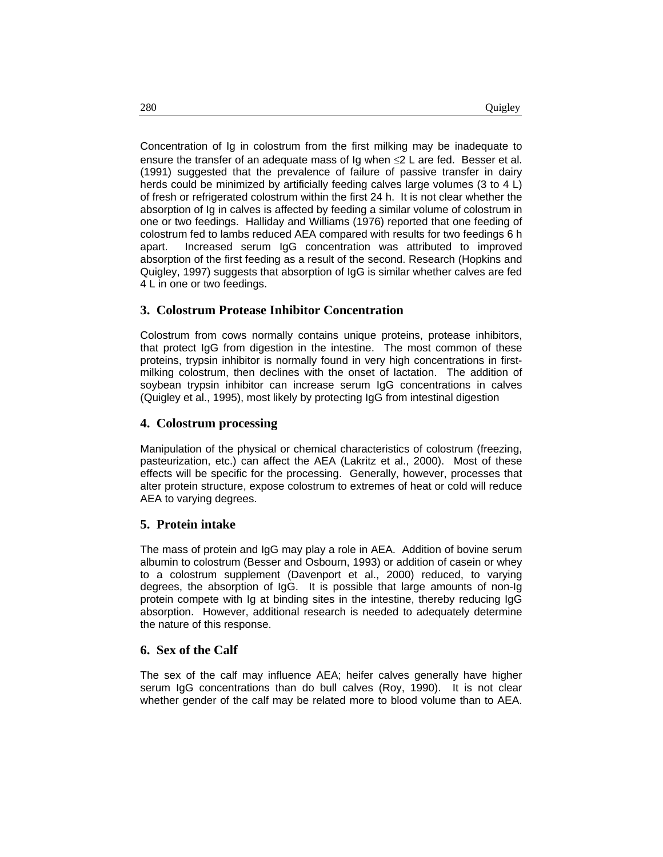Concentration of Ig in colostrum from the first milking may be inadequate to ensure the transfer of an adequate mass of  $\lg$  when  $\leq$  L are fed. Besser et al. (1991) suggested that the prevalence of failure of passive transfer in dairy herds could be minimized by artificially feeding calves large volumes (3 to 4 L) of fresh or refrigerated colostrum within the first 24 h. It is not clear whether the absorption of Ig in calves is affected by feeding a similar volume of colostrum in one or two feedings. Halliday and Williams (1976) reported that one feeding of colostrum fed to lambs reduced AEA compared with results for two feedings 6 h apart. Increased serum IgG concentration was attributed to improved absorption of the first feeding as a result of the second. Research (Hopkins and Quigley, 1997) suggests that absorption of IgG is similar whether calves are fed 4 L in one or two feedings.

#### **3. Colostrum Protease Inhibitor Concentration**

Colostrum from cows normally contains unique proteins, protease inhibitors, that protect IgG from digestion in the intestine. The most common of these proteins, trypsin inhibitor is normally found in very high concentrations in firstmilking colostrum, then declines with the onset of lactation. The addition of soybean trypsin inhibitor can increase serum IgG concentrations in calves (Quigley et al., 1995), most likely by protecting IgG from intestinal digestion

#### **4. Colostrum processing**

Manipulation of the physical or chemical characteristics of colostrum (freezing, pasteurization, etc.) can affect the AEA (Lakritz et al., 2000). Most of these effects will be specific for the processing. Generally, however, processes that alter protein structure, expose colostrum to extremes of heat or cold will reduce AEA to varying degrees.

#### **5. Protein intake**

The mass of protein and IgG may play a role in AEA. Addition of bovine serum albumin to colostrum (Besser and Osbourn, 1993) or addition of casein or whey to a colostrum supplement (Davenport et al., 2000) reduced, to varying degrees, the absorption of IgG. It is possible that large amounts of non-Ig protein compete with Ig at binding sites in the intestine, thereby reducing IgG absorption. However, additional research is needed to adequately determine the nature of this response.

#### **6. Sex of the Calf**

The sex of the calf may influence AEA; heifer calves generally have higher serum IgG concentrations than do bull calves (Roy, 1990). It is not clear whether gender of the calf may be related more to blood volume than to AEA.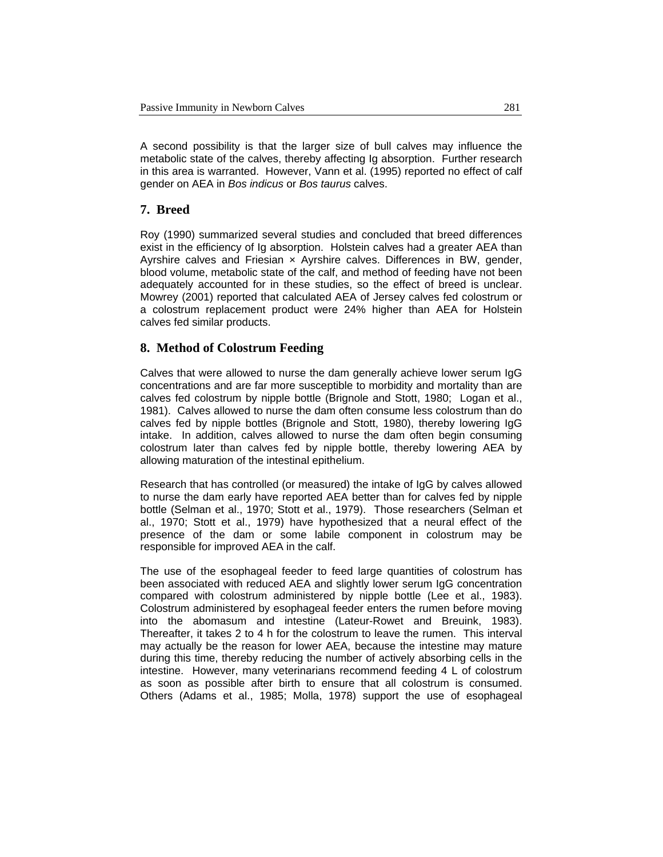A second possibility is that the larger size of bull calves may influence the metabolic state of the calves, thereby affecting Ig absorption. Further research in this area is warranted. However, Vann et al. (1995) reported no effect of calf gender on AEA in *Bos indicus* or *Bos taurus* calves.

#### **7. Breed**

Roy (1990) summarized several studies and concluded that breed differences exist in the efficiency of Ig absorption. Holstein calves had a greater AEA than Ayrshire calves and Friesian × Ayrshire calves. Differences in BW, gender, blood volume, metabolic state of the calf, and method of feeding have not been adequately accounted for in these studies, so the effect of breed is unclear. Mowrey (2001) reported that calculated AEA of Jersey calves fed colostrum or a colostrum replacement product were 24% higher than AEA for Holstein calves fed similar products.

#### **8. Method of Colostrum Feeding**

Calves that were allowed to nurse the dam generally achieve lower serum IgG concentrations and are far more susceptible to morbidity and mortality than are calves fed colostrum by nipple bottle (Brignole and Stott, 1980; Logan et al., 1981). Calves allowed to nurse the dam often consume less colostrum than do calves fed by nipple bottles (Brignole and Stott, 1980), thereby lowering IgG intake. In addition, calves allowed to nurse the dam often begin consuming colostrum later than calves fed by nipple bottle, thereby lowering AEA by allowing maturation of the intestinal epithelium.

Research that has controlled (or measured) the intake of IgG by calves allowed to nurse the dam early have reported AEA better than for calves fed by nipple bottle (Selman et al., 1970; Stott et al., 1979). Those researchers (Selman et al., 1970; Stott et al., 1979) have hypothesized that a neural effect of the presence of the dam or some labile component in colostrum may be responsible for improved AEA in the calf.

The use of the esophageal feeder to feed large quantities of colostrum has been associated with reduced AEA and slightly lower serum IgG concentration compared with colostrum administered by nipple bottle (Lee et al., 1983). Colostrum administered by esophageal feeder enters the rumen before moving into the abomasum and intestine (Lateur-Rowet and Breuink, 1983). Thereafter, it takes 2 to 4 h for the colostrum to leave the rumen. This interval may actually be the reason for lower AEA, because the intestine may mature during this time, thereby reducing the number of actively absorbing cells in the intestine. However, many veterinarians recommend feeding 4 L of colostrum as soon as possible after birth to ensure that all colostrum is consumed. Others (Adams et al., 1985; Molla, 1978) support the use of esophageal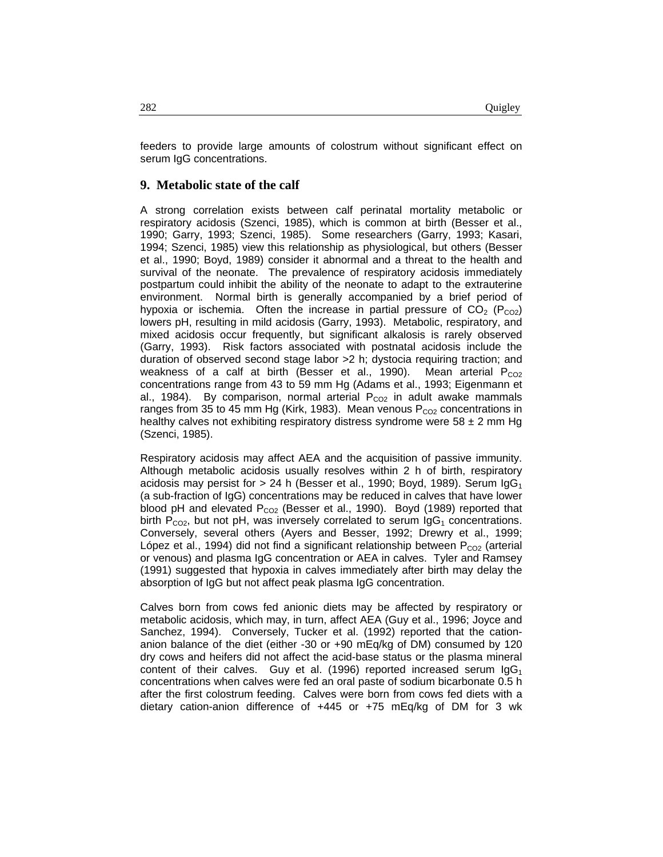feeders to provide large amounts of colostrum without significant effect on serum IgG concentrations.

#### **9. Metabolic state of the calf**

A strong correlation exists between calf perinatal mortality metabolic or respiratory acidosis (Szenci, 1985), which is common at birth (Besser et al., 1990; Garry, 1993; Szenci, 1985). Some researchers (Garry, 1993; Kasari, 1994; Szenci, 1985) view this relationship as physiological, but others (Besser et al., 1990; Boyd, 1989) consider it abnormal and a threat to the health and survival of the neonate. The prevalence of respiratory acidosis immediately postpartum could inhibit the ability of the neonate to adapt to the extrauterine environment. Normal birth is generally accompanied by a brief period of hypoxia or ischemia. Often the increase in partial pressure of  $CO<sub>2</sub> (P<sub>CO2</sub>)$ lowers pH, resulting in mild acidosis (Garry, 1993). Metabolic, respiratory, and mixed acidosis occur frequently, but significant alkalosis is rarely observed (Garry, 1993). Risk factors associated with postnatal acidosis include the duration of observed second stage labor >2 h; dystocia requiring traction; and weakness of a calf at birth (Besser et al., 1990). Mean arterial  $P_{CO2}$ concentrations range from 43 to 59 mm Hg (Adams et al., 1993; Eigenmann et al., 1984). By comparison, normal arterial  $P_{CO2}$  in adult awake mammals ranges from 35 to 45 mm Hg (Kirk, 1983). Mean venous  $P_{CO2}$  concentrations in healthy calves not exhibiting respiratory distress syndrome were  $58 \pm 2$  mm Hg (Szenci, 1985).

Respiratory acidosis may affect AEA and the acquisition of passive immunity. Although metabolic acidosis usually resolves within 2 h of birth, respiratory acidosis may persist for  $> 24$  h (Besser et al., 1990; Boyd, 1989). Serum IgG<sub>1</sub> (a sub-fraction of IgG) concentrations may be reduced in calves that have lower blood pH and elevated  $P_{CO2}$  (Besser et al., 1990). Boyd (1989) reported that birth  $P_{CO2}$ , but not pH, was inversely correlated to serum  $\log_1$  concentrations. Conversely, several others (Ayers and Besser, 1992; Drewry et al., 1999; López et al., 1994) did not find a significant relationship between  $P_{CO2}$  (arterial or venous) and plasma IgG concentration or AEA in calves. Tyler and Ramsey (1991) suggested that hypoxia in calves immediately after birth may delay the absorption of IgG but not affect peak plasma IgG concentration.

Calves born from cows fed anionic diets may be affected by respiratory or metabolic acidosis, which may, in turn, affect AEA (Guy et al., 1996; Joyce and Sanchez, 1994). Conversely, Tucker et al. (1992) reported that the cationanion balance of the diet (either -30 or +90 mEq/kg of DM) consumed by 120 dry cows and heifers did not affect the acid-base status or the plasma mineral content of their calves. Guy et al. (1996) reported increased serum  $\lg G_1$ concentrations when calves were fed an oral paste of sodium bicarbonate 0.5 h after the first colostrum feeding. Calves were born from cows fed diets with a dietary cation-anion difference of +445 or +75 mEq/kg of DM for 3 wk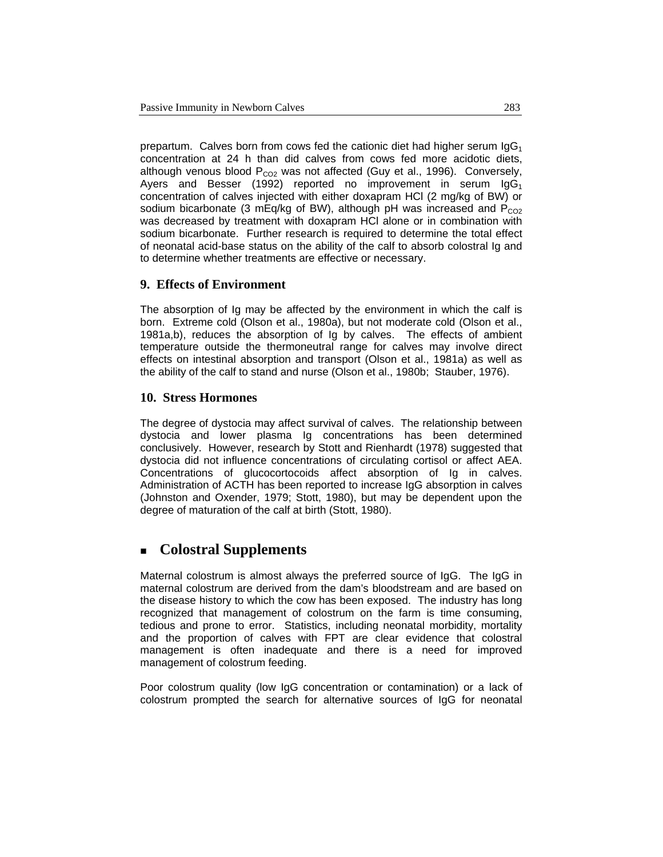prepartum. Calves born from cows fed the cationic diet had higher serum  $\lg G_1$ concentration at 24 h than did calves from cows fed more acidotic diets, although venous blood  $P_{CO2}$  was not affected (Guy et al., 1996). Conversely, Ayers and Besser (1992) reported no improvement in serum  $\log G_1$ concentration of calves injected with either doxapram HCl (2 mg/kg of BW) or sodium bicarbonate (3 mEq/kg of BW), although pH was increased and  $P_{CO2}$ was decreased by treatment with doxapram HCl alone or in combination with sodium bicarbonate. Further research is required to determine the total effect of neonatal acid-base status on the ability of the calf to absorb colostral Ig and to determine whether treatments are effective or necessary.

#### **9. Effects of Environment**

The absorption of Ig may be affected by the environment in which the calf is born. Extreme cold (Olson et al., 1980a), but not moderate cold (Olson et al., 1981a,b), reduces the absorption of Ig by calves. The effects of ambient temperature outside the thermoneutral range for calves may involve direct effects on intestinal absorption and transport (Olson et al., 1981a) as well as the ability of the calf to stand and nurse (Olson et al., 1980b; Stauber, 1976).

#### **10. Stress Hormones**

The degree of dystocia may affect survival of calves. The relationship between dystocia and lower plasma Ig concentrations has been determined conclusively. However, research by Stott and Rienhardt (1978) suggested that dystocia did not influence concentrations of circulating cortisol or affect AEA. Concentrations of glucocortocoids affect absorption of Ig in calves. Administration of ACTH has been reported to increase IgG absorption in calves (Johnston and Oxender, 1979; Stott, 1980), but may be dependent upon the degree of maturation of the calf at birth (Stott, 1980).

# **Colostral Supplements**

Maternal colostrum is almost always the preferred source of IgG. The IgG in maternal colostrum are derived from the dam's bloodstream and are based on the disease history to which the cow has been exposed. The industry has long recognized that management of colostrum on the farm is time consuming, tedious and prone to error. Statistics, including neonatal morbidity, mortality and the proportion of calves with FPT are clear evidence that colostral management is often inadequate and there is a need for improved management of colostrum feeding.

Poor colostrum quality (low IgG concentration or contamination) or a lack of colostrum prompted the search for alternative sources of IgG for neonatal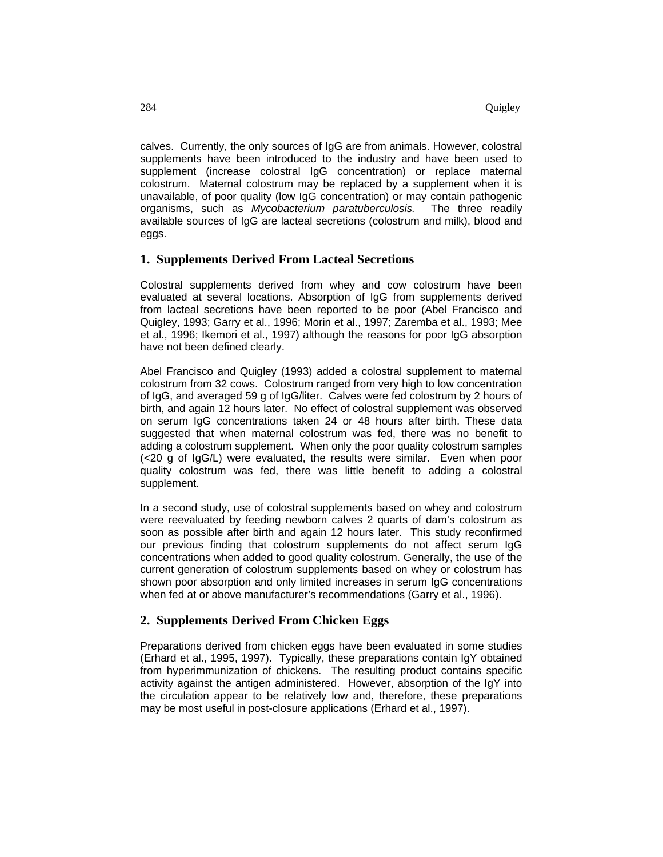calves. Currently, the only sources of IgG are from animals. However, colostral supplements have been introduced to the industry and have been used to supplement (increase colostral IgG concentration) or replace maternal colostrum. Maternal colostrum may be replaced by a supplement when it is unavailable, of poor quality (low IgG concentration) or may contain pathogenic organisms, such as *Mycobacterium paratuberculosis.* The three readily available sources of IgG are lacteal secretions (colostrum and milk), blood and eggs.

#### **1. Supplements Derived From Lacteal Secretions**

Colostral supplements derived from whey and cow colostrum have been evaluated at several locations. Absorption of IgG from supplements derived from lacteal secretions have been reported to be poor (Abel Francisco and Quigley, 1993; Garry et al., 1996; Morin et al., 1997; Zaremba et al., 1993; Mee et al., 1996; Ikemori et al., 1997) although the reasons for poor IgG absorption have not been defined clearly.

Abel Francisco and Quigley (1993) added a colostral supplement to maternal colostrum from 32 cows. Colostrum ranged from very high to low concentration of IgG, and averaged 59 g of IgG/liter. Calves were fed colostrum by 2 hours of birth, and again 12 hours later. No effect of colostral supplement was observed on serum IgG concentrations taken 24 or 48 hours after birth. These data suggested that when maternal colostrum was fed, there was no benefit to adding a colostrum supplement. When only the poor quality colostrum samples (<20 g of IgG/L) were evaluated, the results were similar. Even when poor quality colostrum was fed, there was little benefit to adding a colostral supplement.

In a second study, use of colostral supplements based on whey and colostrum were reevaluated by feeding newborn calves 2 quarts of dam's colostrum as soon as possible after birth and again 12 hours later. This study reconfirmed our previous finding that colostrum supplements do not affect serum IgG concentrations when added to good quality colostrum. Generally, the use of the current generation of colostrum supplements based on whey or colostrum has shown poor absorption and only limited increases in serum IgG concentrations when fed at or above manufacturer's recommendations (Garry et al., 1996).

#### **2. Supplements Derived From Chicken Eggs**

Preparations derived from chicken eggs have been evaluated in some studies (Erhard et al., 1995, 1997). Typically, these preparations contain IgY obtained from hyperimmunization of chickens. The resulting product contains specific activity against the antigen administered. However, absorption of the IgY into the circulation appear to be relatively low and, therefore, these preparations may be most useful in post-closure applications (Erhard et al., 1997).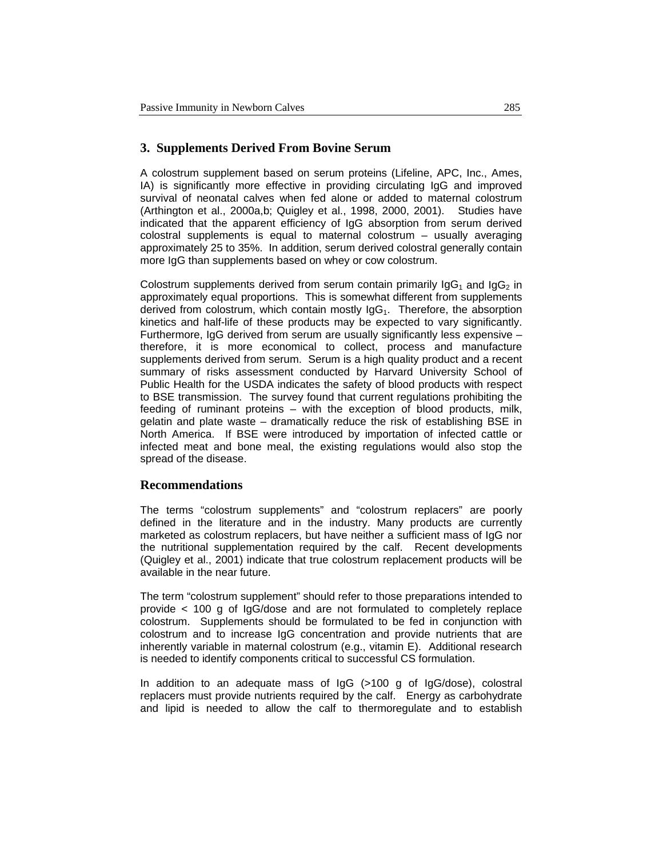### **3. Supplements Derived From Bovine Serum**

A colostrum supplement based on serum proteins (Lifeline, APC, Inc., Ames, IA) is significantly more effective in providing circulating IgG and improved survival of neonatal calves when fed alone or added to maternal colostrum (Arthington et al., 2000a,b; Quigley et al., 1998, 2000, 2001). Studies have indicated that the apparent efficiency of IgG absorption from serum derived colostral supplements is equal to maternal colostrum – usually averaging approximately 25 to 35%. In addition, serum derived colostral generally contain more IgG than supplements based on whey or cow colostrum.

Colostrum supplements derived from serum contain primarily  $\log_{1}$  and  $\log_{2}$  in approximately equal proportions. This is somewhat different from supplements derived from colostrum, which contain mostly  $\log_1$ . Therefore, the absorption kinetics and half-life of these products may be expected to vary significantly. Furthermore, IgG derived from serum are usually significantly less expensive – therefore, it is more economical to collect, process and manufacture supplements derived from serum. Serum is a high quality product and a recent summary of risks assessment conducted by Harvard University School of Public Health for the USDA indicates the safety of blood products with respect to BSE transmission. The survey found that current regulations prohibiting the feeding of ruminant proteins – with the exception of blood products, milk, gelatin and plate waste – dramatically reduce the risk of establishing BSE in North America. If BSE were introduced by importation of infected cattle or infected meat and bone meal, the existing regulations would also stop the spread of the disease.

#### **Recommendations**

The terms "colostrum supplements" and "colostrum replacers" are poorly defined in the literature and in the industry. Many products are currently marketed as colostrum replacers, but have neither a sufficient mass of IgG nor the nutritional supplementation required by the calf. Recent developments (Quigley et al., 2001) indicate that true colostrum replacement products will be available in the near future.

The term "colostrum supplement" should refer to those preparations intended to provide < 100 g of IgG/dose and are not formulated to completely replace colostrum. Supplements should be formulated to be fed in conjunction with colostrum and to increase IgG concentration and provide nutrients that are inherently variable in maternal colostrum (e.g., vitamin E). Additional research is needed to identify components critical to successful CS formulation.

In addition to an adequate mass of IgG (>100 g of IgG/dose), colostral replacers must provide nutrients required by the calf. Energy as carbohydrate and lipid is needed to allow the calf to thermoregulate and to establish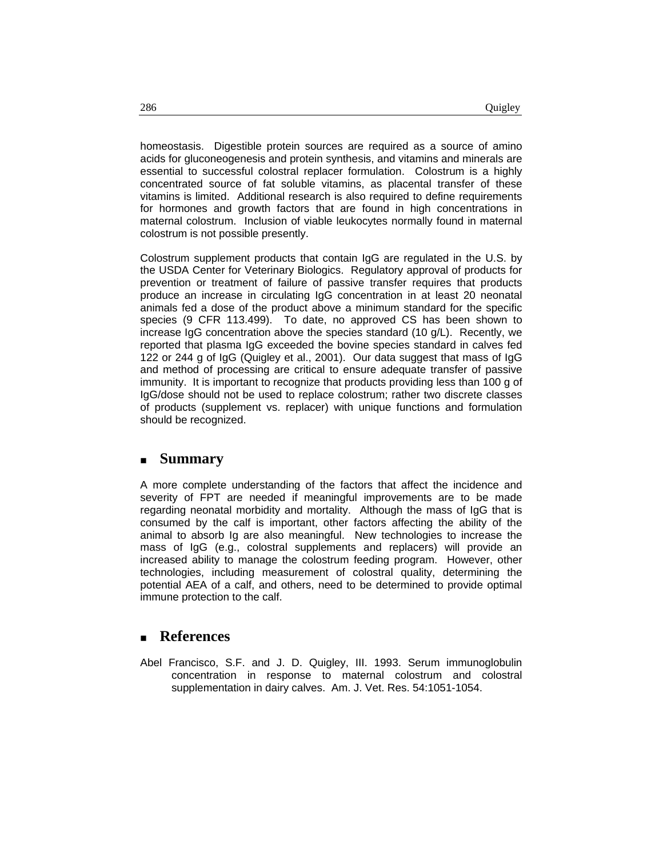homeostasis. Digestible protein sources are required as a source of amino acids for gluconeogenesis and protein synthesis, and vitamins and minerals are essential to successful colostral replacer formulation. Colostrum is a highly concentrated source of fat soluble vitamins, as placental transfer of these vitamins is limited. Additional research is also required to define requirements for hormones and growth factors that are found in high concentrations in maternal colostrum. Inclusion of viable leukocytes normally found in maternal colostrum is not possible presently.

Colostrum supplement products that contain IgG are regulated in the U.S. by the USDA Center for Veterinary Biologics. Regulatory approval of products for prevention or treatment of failure of passive transfer requires that products produce an increase in circulating IgG concentration in at least 20 neonatal animals fed a dose of the product above a minimum standard for the specific species (9 CFR 113.499). To date, no approved CS has been shown to increase IgG concentration above the species standard (10 g/L). Recently, we reported that plasma IgG exceeded the bovine species standard in calves fed 122 or 244 g of IgG (Quigley et al., 2001). Our data suggest that mass of IgG and method of processing are critical to ensure adequate transfer of passive immunity. It is important to recognize that products providing less than 100 g of IgG/dose should not be used to replace colostrum; rather two discrete classes of products (supplement vs. replacer) with unique functions and formulation should be recognized.

### **Summary**

A more complete understanding of the factors that affect the incidence and severity of FPT are needed if meaningful improvements are to be made regarding neonatal morbidity and mortality. Although the mass of IgG that is consumed by the calf is important, other factors affecting the ability of the animal to absorb Ig are also meaningful. New technologies to increase the mass of IgG (e.g., colostral supplements and replacers) will provide an increased ability to manage the colostrum feeding program. However, other technologies, including measurement of colostral quality, determining the potential AEA of a calf, and others, need to be determined to provide optimal immune protection to the calf.

#### **References**

Abel Francisco, S.F. and J. D. Quigley, III. 1993. Serum immunoglobulin concentration in response to maternal colostrum and colostral supplementation in dairy calves. Am. J. Vet. Res. 54:1051-1054.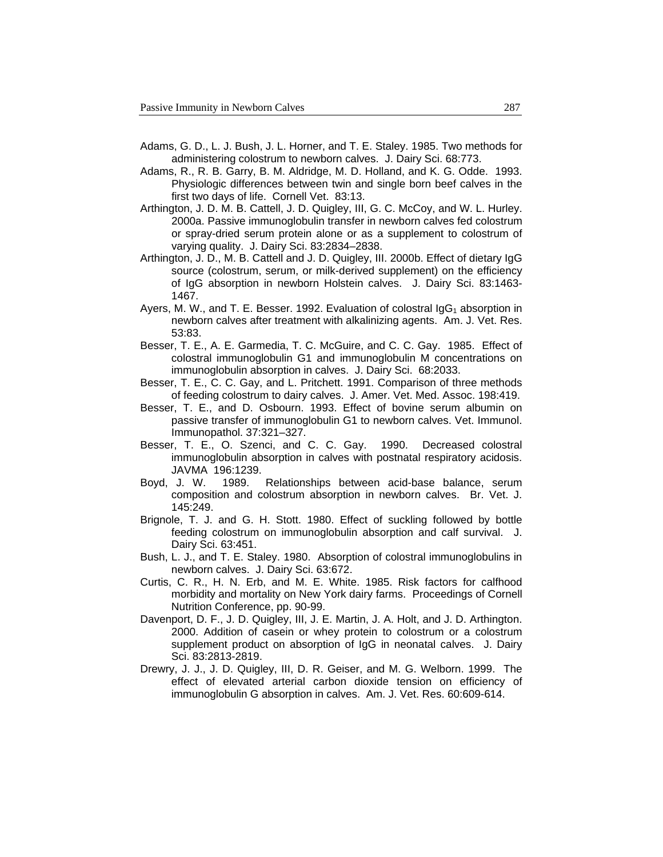- Adams, G. D., L. J. Bush, J. L. Horner, and T. E. Staley. 1985. Two methods for administering colostrum to newborn calves. J. Dairy Sci. 68:773.
- Adams, R., R. B. Garry, B. M. Aldridge, M. D. Holland, and K. G. Odde. 1993. Physiologic differences between twin and single born beef calves in the first two days of life. Cornell Vet. 83:13.
- Arthington, J. D. M. B. Cattell, J. D. Quigley, III, G. C. McCoy, and W. L. Hurley. 2000a. Passive immunoglobulin transfer in newborn calves fed colostrum or spray-dried serum protein alone or as a supplement to colostrum of varying quality. J. Dairy Sci. 83:2834–2838.
- Arthington, J. D., M. B. Cattell and J. D. Quigley, III. 2000b. Effect of dietary IgG source (colostrum, serum, or milk-derived supplement) on the efficiency of IgG absorption in newborn Holstein calves. J. Dairy Sci. 83:1463- 1467.
- Ayers, M. W., and T. E. Besser. 1992. Evaluation of colostral  $\log_1$  absorption in newborn calves after treatment with alkalinizing agents. Am. J. Vet. Res. 53:83.
- Besser, T. E., A. E. Garmedia, T. C. McGuire, and C. C. Gay. 1985. Effect of colostral immunoglobulin G1 and immunoglobulin M concentrations on immunoglobulin absorption in calves. J. Dairy Sci. 68:2033.
- Besser, T. E., C. C. Gay, and L. Pritchett. 1991. Comparison of three methods of feeding colostrum to dairy calves. J. Amer. Vet. Med. Assoc. 198:419.
- Besser, T. E., and D. Osbourn. 1993. Effect of bovine serum albumin on passive transfer of immunoglobulin G1 to newborn calves. Vet. Immunol. Immunopathol. 37:321–327.
- Besser, T. E., O. Szenci, and C. C. Gay. 1990. Decreased colostral immunoglobulin absorption in calves with postnatal respiratory acidosis. JAVMA 196:1239.
- Boyd, J. W. 1989. Relationships between acid-base balance, serum composition and colostrum absorption in newborn calves. Br. Vet. J. 145:249.
- Brignole, T. J. and G. H. Stott. 1980. Effect of suckling followed by bottle feeding colostrum on immunoglobulin absorption and calf survival. J. Dairy Sci. 63:451.
- Bush, L. J., and T. E. Staley. 1980. Absorption of colostral immunoglobulins in newborn calves. J. Dairy Sci. 63:672.
- Curtis, C. R., H. N. Erb, and M. E. White. 1985. Risk factors for calfhood morbidity and mortality on New York dairy farms. Proceedings of Cornell Nutrition Conference, pp. 90-99.
- Davenport, D. F., J. D. Quigley, III, J. E. Martin, J. A. Holt, and J. D. Arthington. 2000. Addition of casein or whey protein to colostrum or a colostrum supplement product on absorption of IgG in neonatal calves. J. Dairy Sci. 83:2813-2819.
- Drewry, J. J., J. D. Quigley, III, D. R. Geiser, and M. G. Welborn. 1999. The effect of elevated arterial carbon dioxide tension on efficiency of immunoglobulin G absorption in calves. Am. J. Vet. Res. 60:609-614.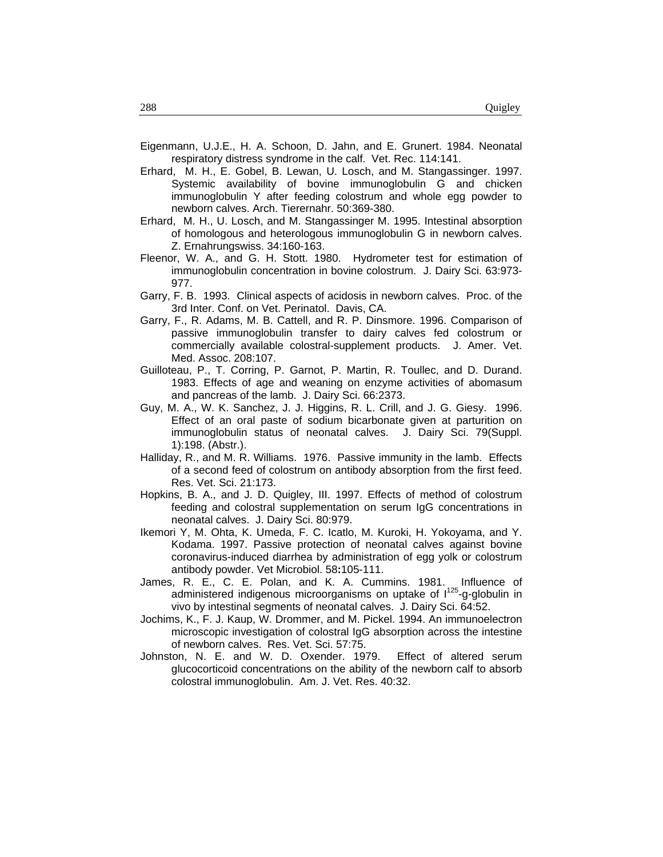- Eigenmann, U.J.E., H. A. Schoon, D. Jahn, and E. Grunert. 1984. Neonatal respiratory distress syndrome in the calf. Vet. Rec. 114:141.
- Erhard, M. H., E. Gobel, B. Lewan, U. Losch, and M. Stangassinger. 1997. Systemic availability of bovine immunoglobulin G and chicken immunoglobulin Y after feeding colostrum and whole egg powder to newborn calves. Arch. Tierernahr. 50:369-380.
- Erhard, M. H., U. Losch, and M. Stangassinger M. 1995. Intestinal absorption of homologous and heterologous immunoglobulin G in newborn calves. Z. Ernahrungswiss. 34:160-163.
- Fleenor, W. A., and G. H. Stott. 1980. Hydrometer test for estimation of immunoglobulin concentration in bovine colostrum. J. Dairy Sci. 63:973- 977.
- Garry, F. B. 1993. Clinical aspects of acidosis in newborn calves. Proc. of the 3rd Inter. Conf. on Vet. Perinatol. Davis, CA.
- Garry, F., R. Adams, M. B. Cattell, and R. P. Dinsmore. 1996. Comparison of passive immunoglobulin transfer to dairy calves fed colostrum or commercially available colostral-supplement products. J. Amer. Vet. Med. Assoc. 208:107.
- Guilloteau, P., T. Corring, P. Garnot, P. Martin, R. Toullec, and D. Durand. 1983. Effects of age and weaning on enzyme activities of abomasum and pancreas of the lamb. J. Dairy Sci. 66:2373.
- Guy, M. A., W. K. Sanchez, J. J. Higgins, R. L. Crill, and J. G. Giesy. 1996. Effect of an oral paste of sodium bicarbonate given at parturition on immunoglobulin status of neonatal calves. J. Dairy Sci. 79(Suppl. 1):198. (Abstr.).
- Halliday, R., and M. R. Williams. 1976. Passive immunity in the lamb. Effects of a second feed of colostrum on antibody absorption from the first feed. Res. Vet. Sci. 21:173.
- Hopkins, B. A., and J. D. Quigley, III. 1997. Effects of method of colostrum feeding and colostral supplementation on serum IgG concentrations in neonatal calves. J. Dairy Sci. 80:979.
- Ikemori Y, M. Ohta, K. Umeda, F. C. Icatlo, M. Kuroki, H. Yokoyama, and Y. Kodama. 1997. Passive protection of neonatal calves against bovine coronavirus-induced diarrhea by administration of egg yolk or colostrum antibody powder. Vet Microbiol. 58**:**105-111.
- James, R. E., C. E. Polan, and K. A. Cummins. 1981. Influence of administered indigenous microorganisms on uptake of  $1^{125}$ -g-globulin in vivo by intestinal segments of neonatal calves. J. Dairy Sci. 64:52.
- Jochims, K., F. J. Kaup, W. Drommer, and M. Pickel. 1994. An immunoelectron microscopic investigation of colostral IgG absorption across the intestine of newborn calves. Res. Vet. Sci. 57:75.
- Johnston, N. E. and W. D. Oxender. 1979. Effect of altered serum glucocorticoid concentrations on the ability of the newborn calf to absorb colostral immunoglobulin. Am. J. Vet. Res. 40:32.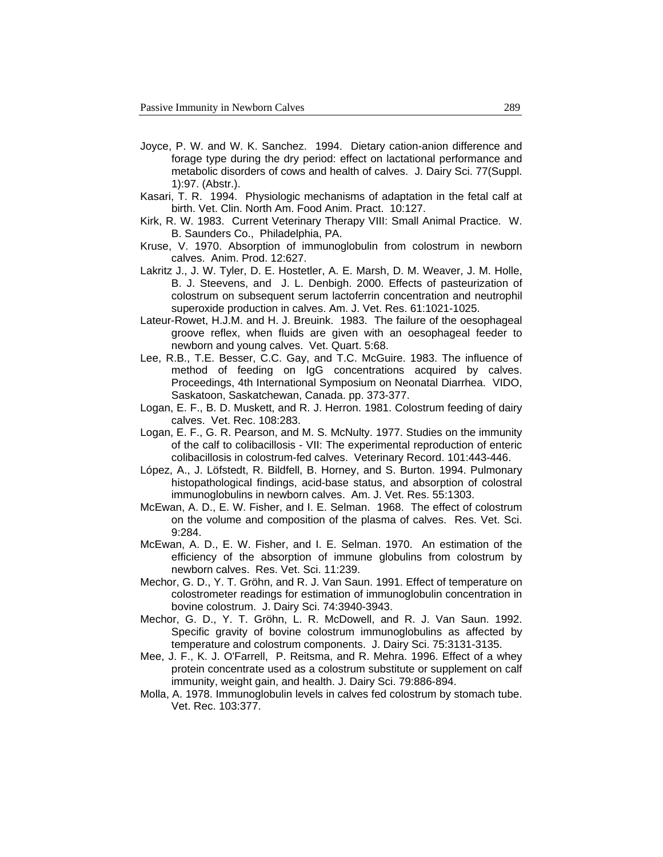- Joyce, P. W. and W. K. Sanchez. 1994. Dietary cation-anion difference and forage type during the dry period: effect on lactational performance and metabolic disorders of cows and health of calves. J. Dairy Sci. 77(Suppl. 1):97. (Abstr.).
- Kasari, T. R. 1994. Physiologic mechanisms of adaptation in the fetal calf at birth. Vet. Clin. North Am. Food Anim. Pract. 10:127.
- Kirk, R. W. 1983.Current Veterinary Therapy VIII: Small Animal Practice*.* W. B. Saunders Co., Philadelphia, PA.
- Kruse, V. 1970. Absorption of immunoglobulin from colostrum in newborn calves. Anim. Prod. 12:627.
- Lakritz J., J. W. Tyler, D. E. Hostetler, A. E. Marsh, D. M. Weaver, J. M. Holle, B. J. Steevens, and J. L. Denbigh. 2000. Effects of pasteurization of colostrum on subsequent serum lactoferrin concentration and neutrophil superoxide production in calves. Am. J. Vet. Res. 61:1021-1025.
- Lateur-Rowet, H.J.M. and H. J. Breuink. 1983. The failure of the oesophageal groove reflex, when fluids are given with an oesophageal feeder to newborn and young calves. Vet. Quart. 5:68.
- Lee, R.B., T.E. Besser, C.C. Gay, and T.C. McGuire. 1983. The influence of method of feeding on IgG concentrations acquired by calves. Proceedings, 4th International Symposium on Neonatal Diarrhea. VIDO, Saskatoon, Saskatchewan, Canada. pp. 373-377.
- Logan, E. F., B. D. Muskett, and R. J. Herron. 1981. Colostrum feeding of dairy calves. Vet. Rec. 108:283.
- Logan, E. F., G. R. Pearson, and M. S. McNulty. 1977. Studies on the immunity of the calf to colibacillosis - VII: The experimental reproduction of enteric colibacillosis in colostrum-fed calves. Veterinary Record. 101:443-446.
- López, A., J. Löfstedt, R. Bildfell, B. Horney, and S. Burton. 1994. Pulmonary histopathological findings, acid-base status, and absorption of colostral immunoglobulins in newborn calves. Am. J. Vet. Res. 55:1303.
- McEwan, A. D., E. W. Fisher, and I. E. Selman. 1968. The effect of colostrum on the volume and composition of the plasma of calves. Res. Vet. Sci. 9:284.
- McEwan, A. D., E. W. Fisher, and I. E. Selman. 1970. An estimation of the efficiency of the absorption of immune globulins from colostrum by newborn calves. Res. Vet. Sci. 11:239.
- Mechor, G. D., Y. T. Gröhn, and R. J. Van Saun. 1991. Effect of temperature on colostrometer readings for estimation of immunoglobulin concentration in bovine colostrum. J. Dairy Sci. 74:3940-3943.
- Mechor, G. D., Y. T. Gröhn, L. R. McDowell, and R. J. Van Saun. 1992. Specific gravity of bovine colostrum immunoglobulins as affected by temperature and colostrum components. J. Dairy Sci. 75:3131-3135.
- Mee, J. F., K. J. O'Farrell, P. Reitsma, and R. Mehra. 1996. Effect of a whey protein concentrate used as a colostrum substitute or supplement on calf immunity, weight gain, and health. J. Dairy Sci. 79:886-894.
- Molla, A. 1978. Immunoglobulin levels in calves fed colostrum by stomach tube. Vet. Rec. 103:377.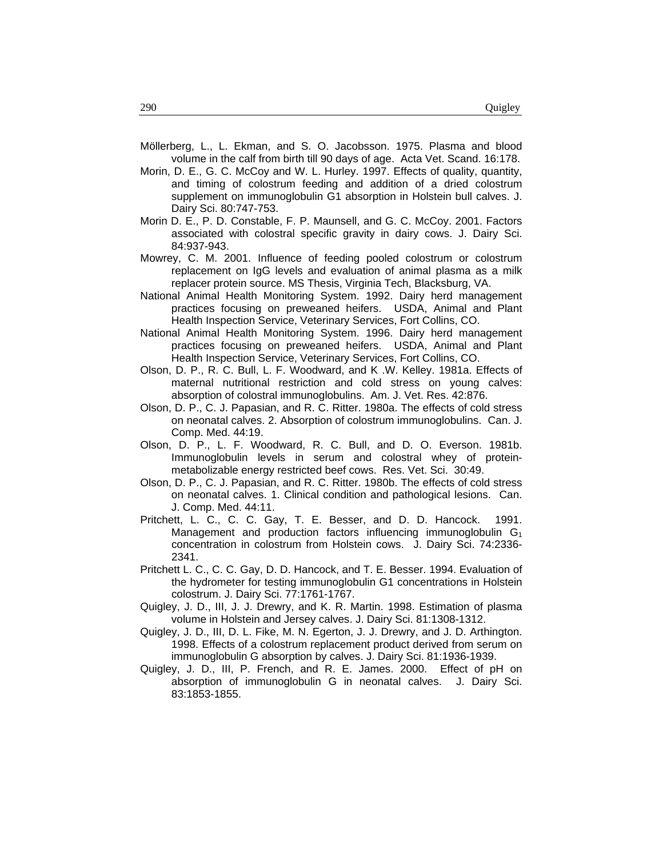- Möllerberg, L., L. Ekman, and S. O. Jacobsson. 1975. Plasma and blood volume in the calf from birth till 90 days of age. Acta Vet. Scand. 16:178.
- Morin, D. E., G. C. McCoy and W. L. Hurley. 1997. Effects of quality, quantity, and timing of colostrum feeding and addition of a dried colostrum supplement on immunoglobulin G1 absorption in Holstein bull calves. J. Dairy Sci. 80:747-753.
- Morin D. E., P. D. Constable, F. P. Maunsell, and G. C. McCoy. 2001. Factors associated with colostral specific gravity in dairy cows. J. Dairy Sci. 84:937-943.
- Mowrey, C. M. 2001. Influence of feeding pooled colostrum or colostrum replacement on IgG levels and evaluation of animal plasma as a milk replacer protein source. MS Thesis, Virginia Tech, Blacksburg, VA.
- National Animal Health Monitoring System. 1992. Dairy herd management practices focusing on preweaned heifers. USDA, Animal and Plant Health Inspection Service, Veterinary Services, Fort Collins, CO.
- National Animal Health Monitoring System. 1996. Dairy herd management practices focusing on preweaned heifers. USDA, Animal and Plant Health Inspection Service, Veterinary Services, Fort Collins, CO.
- Olson, D. P., R. C. Bull, L. F. Woodward, and K .W. Kelley. 1981a. Effects of maternal nutritional restriction and cold stress on young calves: absorption of colostral immunoglobulins. Am. J. Vet. Res. 42:876.
- Olson, D. P., C. J. Papasian, and R. C. Ritter. 1980a. The effects of cold stress on neonatal calves. 2. Absorption of colostrum immunoglobulins. Can. J. Comp. Med. 44:19.
- Olson, D. P., L. F. Woodward, R. C. Bull, and D. O. Everson. 1981b. Immunoglobulin levels in serum and colostral whey of proteinmetabolizable energy restricted beef cows. Res. Vet. Sci. 30:49.
- Olson, D. P., C. J. Papasian, and R. C. Ritter. 1980b. The effects of cold stress on neonatal calves. 1. Clinical condition and pathological lesions. Can. J. Comp. Med. 44:11.
- Pritchett, L. C., C. C. Gay, T. E. Besser, and D. D. Hancock. 1991. Management and production factors influencing immunoglobulin  $G_1$ concentration in colostrum from Holstein cows. J. Dairy Sci. 74:2336- 2341.
- Pritchett L. C., C. C. Gay, D. D. Hancock, and T. E. Besser. 1994. Evaluation of the hydrometer for testing immunoglobulin G1 concentrations in Holstein colostrum. J. Dairy Sci. 77:1761-1767.
- Quigley, J. D., III, J. J. Drewry, and K. R. Martin. 1998. Estimation of plasma volume in Holstein and Jersey calves. J. Dairy Sci. 81:1308-1312.
- Quigley, J. D., III, D. L. Fike, M. N. Egerton, J. J. Drewry, and J. D. Arthington. 1998. Effects of a colostrum replacement product derived from serum on immunoglobulin G absorption by calves. J. Dairy Sci. 81:1936-1939.
- Quigley, J. D., III, P. French, and R. E. James. 2000. Effect of pH on absorption of immunoglobulin G in neonatal calves. J. Dairy Sci. 83:1853-1855.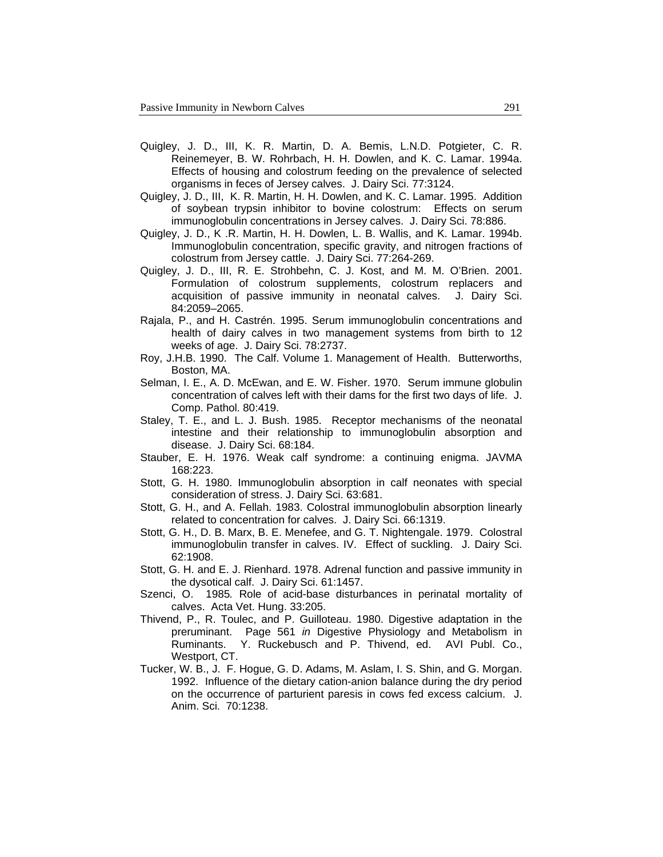- Quigley, J. D., III, K. R. Martin, D. A. Bemis, L.N.D. Potgieter, C. R. Reinemeyer, B. W. Rohrbach, H. H. Dowlen, and K. C. Lamar. 1994a. Effects of housing and colostrum feeding on the prevalence of selected organisms in feces of Jersey calves. J. Dairy Sci. 77:3124.
- Quigley, J. D., III, K. R. Martin, H. H. Dowlen, and K. C. Lamar. 1995. Addition of soybean trypsin inhibitor to bovine colostrum: Effects on serum immunoglobulin concentrations in Jersey calves. J. Dairy Sci. 78:886.
- Quigley, J. D., K .R. Martin, H. H. Dowlen, L. B. Wallis, and K. Lamar. 1994b. Immunoglobulin concentration, specific gravity, and nitrogen fractions of colostrum from Jersey cattle. J. Dairy Sci. 77:264-269.
- Quigley, J. D., III, R. E. Strohbehn, C. J. Kost, and M. M. O'Brien. 2001. Formulation of colostrum supplements, colostrum replacers and acquisition of passive immunity in neonatal calves. J. Dairy Sci. 84:2059–2065.
- Rajala, P., and H. Castrén. 1995. Serum immunoglobulin concentrations and health of dairy calves in two management systems from birth to 12 weeks of age. J. Dairy Sci. 78:2737.
- Roy, J.H.B. 1990. The Calf. Volume 1. Management of Health. Butterworths, Boston, MA.
- Selman, I. E., A. D. McEwan, and E. W. Fisher. 1970. Serum immune globulin concentration of calves left with their dams for the first two days of life. J. Comp. Pathol. 80:419.
- Staley, T. E., and L. J. Bush. 1985. Receptor mechanisms of the neonatal intestine and their relationship to immunoglobulin absorption and disease. J. Dairy Sci. 68:184.
- Stauber, E. H. 1976. Weak calf syndrome: a continuing enigma. JAVMA 168:223.
- Stott, G. H. 1980. Immunoglobulin absorption in calf neonates with special consideration of stress. J. Dairy Sci. 63:681.
- Stott, G. H., and A. Fellah. 1983. Colostral immunoglobulin absorption linearly related to concentration for calves. J. Dairy Sci. 66:1319.
- Stott, G. H., D. B. Marx, B. E. Menefee, and G. T. Nightengale. 1979. Colostral immunoglobulin transfer in calves. IV. Effect of suckling. J. Dairy Sci. 62:1908.
- Stott, G. H. and E. J. Rienhard. 1978. Adrenal function and passive immunity in the dysotical calf. J. Dairy Sci. 61:1457.
- Szenci, O. 1985*.* Role of acid-base disturbances in perinatal mortality of calves. Acta Vet. Hung. 33:205.
- Thivend, P., R. Toulec, and P. Guilloteau. 1980. Digestive adaptation in the preruminant. Page 561 *in* Digestive Physiology and Metabolism in Ruminants. Y. Ruckebusch and P. Thivend, ed. AVI Publ. Co., Westport, CT.
- Tucker, W. B., J. F. Hogue, G. D. Adams, M. Aslam, I. S. Shin, and G. Morgan. 1992. Influence of the dietary cation-anion balance during the dry period on the occurrence of parturient paresis in cows fed excess calcium. J. Anim. Sci. 70:1238.